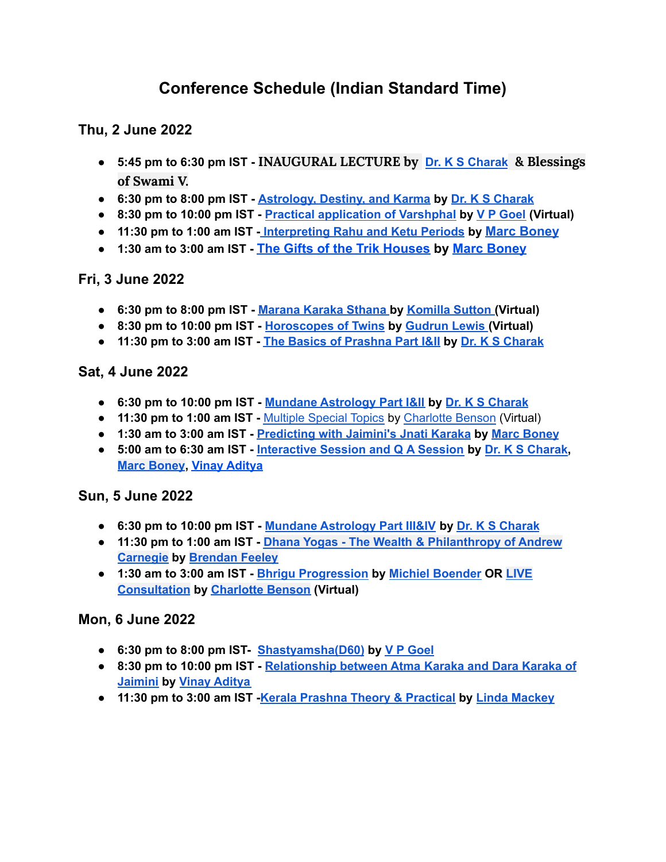# **Conference Schedule (Indian Standard Time)**

## **Thu, 2 June 2022**

- **5:45 pm to 6:30 pm IST - INAUGURAL LECTURE by Dr. K S [Charak](https://jyotish.com/dr-ks-charak) & Blessings of Swami V.**
- **6:30 pm to 8:00 pm IST - [Astrology,](https://jyotish.com/dr-ks-charak/#topics2022) Destiny, and Karma by Dr. K S [Charak](https://jyotish.com/dr-ks-charak)**
- **8:30 pm to 10:00 pm IST - Practical [application](https://jyotish.com/v-p-goel/#topics2022) of Varshphal by V P [Goel](https://jyotish.com/v-p-goel) (Virtual)**
- **11:30 pm to 1:00 am IST [-](https://jyotish.com/dr-ks-charak/#topics2022) [Interpreting](https://jyotish.com/marc-boney-2/#topics2022) Rahu and Ketu Periods by [Marc Boney](https://jyotish.com/marc-boney-2/)**
- **1:30 am to 3:00 am IST - [The Gifts of the Trik Houses](https://jyotish.com/marc-boney-2/#topics2022) by [Marc Boney](https://jyotish.com/marc-boney-2/)**

## **Fri, 3 June 2022**

- **● 6:30 pm to 8:00 pm IST - [Marana](https://jyotish.com/komillasutton/#topics2022) Karaka Sthana by [Komilla](https://jyotish.com/komillasutton) Sutton (Virtual)**
- **● 8:30 pm to 10:00 pm IST - [Horoscopes](https://jyotish.com/gudrun_lewis/#topics2022) of Twins by [Gudrun](https://jyotish.com/gudrun_lewis) Lewis (Virtual)**
- **● 11:30 pm to 3:00 am IST - The Basics of [Prashna](https://jyotish.com/dr-ks-charak/#topics2022) Part I&II by Dr. K S [Charak](https://jyotish.com/dr-ks-charak)**

#### **Sat, 4 June 2022**

- **● 6:30 pm to 10:00 pm IST - Mundane [Astrology](https://jyotish.com/dr-ks-charak/#topics2022) Part I&II by Dr. K S [Charak](https://jyotish.com/dr-ks-charak)**
- **● 11:30 pm to 1:00 am IST -** [Multiple](https://jyotish.com/charlottebenson/#topics2022) Special Topics by [Charlotte](https://jyotish.com/charlottebenson) Benson (Virtual)
- **● 1:30 am to 3:00 am IST - [Predicting](https://jyotish.com/marc-boney-2/#topics2022) with Jaimini's Jnati Karaka by Marc [Boney](https://jyotish.com/marc-boney-2/)**
- **● 5:00 am to 6:30 am IST - [Interactive](https://jyotish.com/dr-ks-charak/#topics2022) Session and Q A Session by Dr. K S [Charak](https://jyotish.com/dr-ks-charak), Marc [Boney](https://jyotish.com/marc-boney-2/), Vinay [Aditya](https://jyotish.com/vinay-aditya)**

#### **Sun, 5 June 2022**

- **6:30 pm to 10:00 pm IST - Mundane [Astrology](https://jyotish.com/dr-ks-charak/#topics2022) Part III&IV by Dr. K S [Charak](https://jyotish.com/dr-ks-charak)**
- **11:30 pm to 1:00 am IST - Dhana Yogas - The Wealth & [Philanthropy](https://jyotish.com/brendan-feeley/#topics2022) of Andrew [Carnegie](https://jyotish.com/brendan-feeley/#topics2022) by [Brendan](https://jyotish.com/brendan-feeley) Feeley**
- **1:30 am to 3:00 am IST - Bhrigu [Progression](https://jyotish.com/michielboender/#topics2022) by Michiel [Boender](https://jyotish.com/michielboender) OR [LIVE](https://jyotish.com/charlottebenson/#topics2022) [Consultation](https://jyotish.com/charlottebenson/#topics2022) by [Charlotte](https://jyotish.com/charlottebenson/) Benson (Virtual)**

#### **Mon, 6 June 2022**

- **● 6:30 pm to 8:00 pm IST- [Shastyamsha\(D60\)](https://jyotish.com/v-p-goel/#topics2022) by V P [Goel](https://jyotish.com/v-p-goel)**
- **● 8:30 pm to 10:00 pm IST - [Relationship](https://jyotish.com/vinay-aditya/#topics2022) between Atma Karaka and Dara Karaka of [Jaimini](https://jyotish.com/vinay-aditya/#topics2022) by Vinay [Aditya](https://jyotish.com/vinay-aditya)**
- **● 11:30 pm to 3:00 am IST -Kerala Prashna Theory & [Practical](https://jyotish.com/linda-mackey/#topics2022) by Linda [Mackey](https://jyotish.com/linda-mackey/)**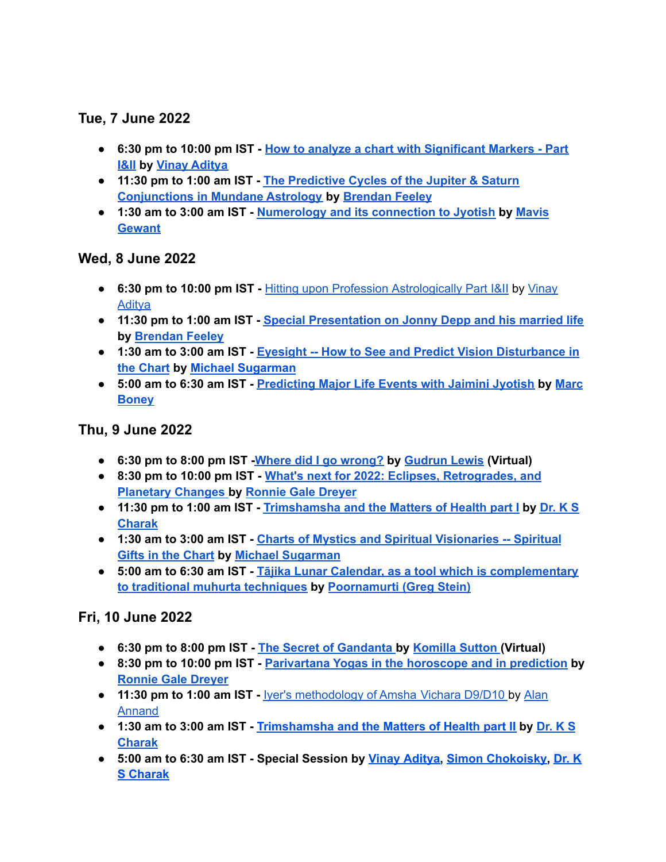# **Tue, 7 June 2022**

- **● 6:30 pm to 10:00 pm IST - How to analyze a chart with [Significant](https://jyotish.com/vinay-aditya/#topics2022) Markers - Part [I&II](https://jyotish.com/vinay-aditya/#topics2022) by Vinay [Aditya](https://jyotish.com/vinay-aditya)**
- **● 11:30 pm to 1:00 am IST - The [Predictive](https://jyotish.com/brendan-feeley/topics2022) Cycles of the Jupiter & Saturn [Conjunctions](https://jyotish.com/brendan-feeley/topics2022) in Mundane Astrology by [Brendan](https://jyotish.com/brendan-feeley) Feeley**
- **● 1:30 am to 3:00 am IST - [Numerology](https://jyotish.com/mavis-gewant/#topics2022) and its connection to Jyotish by [Mavis](https://jyotish.com/mavis-gewant/) [Gewant](https://jyotish.com/mavis-gewant/)**

## **Wed, 8 June 2022**

- **● 6:30 pm to 10:00 pm IST -** Hitting upon Profession [Astrologically](https://jyotish.com/vinay-aditya/#topics2022) Part I&II by [Vinay](https://jyotish.com/vinay-aditya) **Aditva**
- **● 11:30 pm to 1:00 am IST - Special [Presentation](https://jyotish.com/brendan-feeley/#topics2022) on Jonny Depp and his married life by [Brendan](https://jyotish.com/brendan-feeley) Feeley**
- **● 1:30 am to 3:00 am IST - Eyesight -- How to See and Predict Vision [Disturbance](https://jyotish.com/michaelsugarman/#topics2022) in the [Chart](https://jyotish.com/michaelsugarman/#topics2022) by Michael [Sugarman](https://jyotish.com/michaelsugarman/)**
- **● 5:00 am to 6:30 am IST - [Predicting](https://jyotish.com/marc-boney-2/#topics2022) Major Life Events with Jaimini Jyotish by [Marc](https://jyotish.com/marc-boney-2/) [Boney](https://jyotish.com/marc-boney-2/)**

## **Thu, 9 June 2022**

- **● 6:30 pm to 8:00 pm IST -Where did I go [wrong?](https://jyotish.com/gudrun_lewis/#topics2022) by [Gudrun](https://jyotish.com/gudrun_lewis/) Lewis (Virtual)**
- **● 8:30 pm to 10:00 pm IST - What's next for 2022: Eclipses, [Retrogrades,](https://jyotish.com/ronnie_gale_dreyer/#topics2022) and [Planetary](https://jyotish.com/ronnie_gale_dreyer/#topics2022) Changes by [Ronnie](https://jyotish.com/ronnie_gale_dreyer) Gale Dreyer**
- **● 11:30 pm to 1:00 am IST - [Trimshamsha](https://jyotish.com/dr-ks-charak/#topics2022) and the Matters of Health part I by [Dr.](https://jyotish.com/dr-ks-charak) K S [Charak](https://jyotish.com/dr-ks-charak)**
- **● 1:30 am to 3:00 am IST - Charts of Mystics and Spiritual [Visionaries](https://jyotish.com/michaelsugarman/#topics2022) -- Spiritual Gifts in the [Chart](https://jyotish.com/michaelsugarman/#topics2022) by Michael [Sugarman](https://jyotish.com/michaelsugarman/)**
- **● 5:00 am to 6:30 am IST - Tājika Lunar Calendar, as a tool which is [complementary](https://jyotish.com/poornamurti/#topics2022) to traditional muhurta [techniques](https://jyotish.com/poornamurti/#topics2022) by [Poornamurti](https://jyotish.com/poornamurti/) (Greg Stein)**

## **Fri, 10 June 2022**

- **● 6:30 pm to 8:00 pm IST - The Secret of [Gandanta](https://jyotish.com/komillasutton/#topics2022) [b](https://jyotish.com/alan-annand/#topics2022)y [Komilla](https://jyotish.com/komillasutton) Sutton (Virtual)**
- **● 8:30 pm to 10:00 pm IST - [Parivartana](https://jyotish.com/ronnie_gale_dreyer/#topics2022) Yogas in the horoscope and in prediction by [Ronnie](https://jyotish.com/ronnie_gale_dreyer) Gale Dreyer**
- **● 11:30 pm to 1:00 am IST -** Iyer's [methodology](https://jyotish.com/alan-annand/#topics2022) of Amsha Vichara D9/D10 by [Alan](https://jyotish.com/alan-annand) [Annand](https://jyotish.com/alan-annand)
- **● 1:30 am to 3:00 am IST - [Trimshamsha](https://jyotish.com/dr-ks-charak/#topics2022) and the Matters of Health part II by [Dr.](https://jyotish.com/dr-ks-charak) K S [Charak](https://jyotish.com/dr-ks-charak)**
- **● 5:00 am to 6:30 am IST - Special Session by Vinay [Aditya,](https://jyotish.com/vinay-aditya) Simon [Chokoisky](https://jyotish.com/simonchokoisky), [Dr.](https://jyotish.com/dr-ks-charak) K S [Charak](https://jyotish.com/dr-ks-charak)**